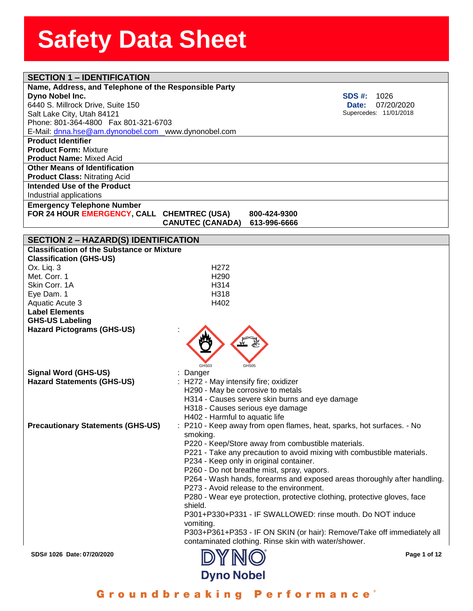| <b>SECTION 1 - IDENTIFICATION</b>                     |                                                                          |
|-------------------------------------------------------|--------------------------------------------------------------------------|
| Name, Address, and Telephone of the Responsible Party |                                                                          |
| Dyno Nobel Inc.                                       | <b>SDS #:</b><br>1026                                                    |
| 6440 S. Millrock Drive, Suite 150                     | 07/20/2020<br><b>Date:</b>                                               |
| Salt Lake City, Utah 84121                            | Supercedes: 11/01/2018                                                   |
| Phone: 801-364-4800  Fax 801-321-6703                 |                                                                          |
| E-Mail: dnna.hse@am.dynonobel.com www.dynonobel.com   |                                                                          |
| <b>Product Identifier</b>                             |                                                                          |
| <b>Product Form: Mixture</b>                          |                                                                          |
| <b>Product Name: Mixed Acid</b>                       |                                                                          |
| <b>Other Means of Identification</b>                  |                                                                          |
| <b>Product Class: Nitrating Acid</b>                  |                                                                          |
| Intended Use of the Product                           |                                                                          |
| Industrial applications                               |                                                                          |
| <b>Emergency Telephone Number</b>                     |                                                                          |
| FOR 24 HOUR EMERGENCY, CALL CHEMTREC (USA)            | 800-424-9300                                                             |
|                                                       | <b>CANUTEC (CANADA)</b><br>613-996-6666                                  |
|                                                       |                                                                          |
| <b>SECTION 2 - HAZARD(S) IDENTIFICATION</b>           |                                                                          |
| <b>Classification of the Substance or Mixture</b>     |                                                                          |
| <b>Classification (GHS-US)</b>                        |                                                                          |
| Ox. Liq. 3                                            | H <sub>272</sub>                                                         |
| Met. Corr. 1                                          | H <sub>290</sub>                                                         |
| Skin Corr. 1A                                         | H <sub>3</sub> 14                                                        |
| Eye Dam. 1                                            | H318                                                                     |
| Aquatic Acute 3                                       | H402                                                                     |
| <b>Label Elements</b>                                 |                                                                          |
| <b>GHS-US Labeling</b>                                |                                                                          |
| <b>Hazard Pictograms (GHS-US)</b>                     |                                                                          |
|                                                       |                                                                          |
|                                                       |                                                                          |
|                                                       |                                                                          |
|                                                       | GHS03<br>GHS05                                                           |
| <b>Signal Word (GHS-US)</b>                           | Danger                                                                   |
| <b>Hazard Statements (GHS-US)</b>                     | : H272 - May intensify fire; oxidizer                                    |
|                                                       | H290 - May be corrosive to metals                                        |
|                                                       | H314 - Causes severe skin burns and eye damage                           |
|                                                       | H318 - Causes serious eye damage                                         |
|                                                       | H402 - Harmful to aquatic life                                           |
| <b>Precautionary Statements (GHS-US)</b>              | P210 - Keep away from open flames, heat, sparks, hot surfaces. - No      |
|                                                       | smoking.                                                                 |
|                                                       | P220 - Keep/Store away from combustible materials.                       |
|                                                       | P221 - Take any precaution to avoid mixing with combustible materials.   |
|                                                       | P234 - Keep only in original container.                                  |
|                                                       | P260 - Do not breathe mist, spray, vapors.                               |
|                                                       | P264 - Wash hands, forearms and exposed areas thoroughly after handling. |
|                                                       | P273 - Avoid release to the environment.                                 |
|                                                       | P280 - Wear eye protection, protective clothing, protective gloves, face |
|                                                       | shield.                                                                  |
|                                                       | P301+P330+P331 - IF SWALLOWED: rinse mouth. Do NOT induce                |
|                                                       |                                                                          |
|                                                       | vomiting.                                                                |
|                                                       | P303+P361+P353 - IF ON SKIN (or hair): Remove/Take off immediately all   |
|                                                       | contaminated clothing. Rinse skin with water/shower.                     |
| SDS# 1026 Date: 07/20/2020                            | Page 1 of 12                                                             |
|                                                       |                                                                          |
|                                                       | <b>Dyno Nobel</b>                                                        |

Groundbreaking Performance<sup>®</sup>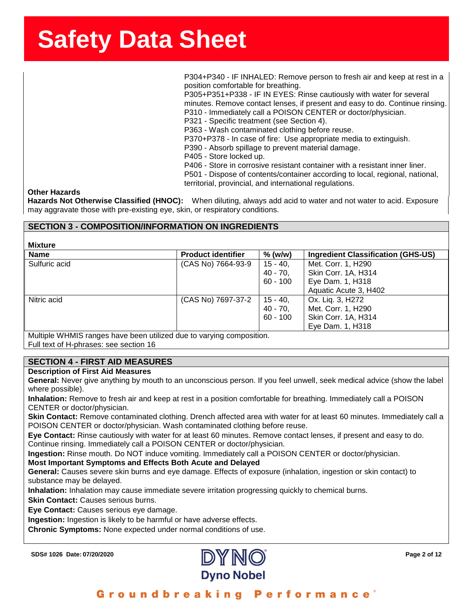**ssssSSherrSheetSSh** P304+P340 - IF INHALED: Remove person to fresh air and keep at rest in a position comfortable for breathing.

P305+P351+P338 - IF IN EYES: Rinse cautiously with water for several minutes. Remove contact lenses, if present and easy to do. Continue rinsing. P310 - Immediately call a POISON CENTER or doctor/physician.

P321 - Specific treatment (see Section 4).

P363 - Wash contaminated clothing before reuse.

P370+P378 - In case of fire: Use appropriate media to extinguish.

- P390 Absorb spillage to prevent material damage.
- P405 Store locked up.

P406 - Store in corrosive resistant container with a resistant inner liner. P501 - Dispose of contents/container according to local, regional, national, territorial, provincial, and international regulations.

### **Other Hazards**

**Hazards Not Otherwise Classified (HNOC):** When diluting, always add acid to water and not water to acid. Exposure may aggravate those with pre-existing eye, skin, or respiratory conditions.

## **SECTION 3 - COMPOSITION/INFORMATION ON INGREDIENTS**

**Mixture**

| IIIAWI Y      |                           |             |                                           |
|---------------|---------------------------|-------------|-------------------------------------------|
| <b>Name</b>   | <b>Product identifier</b> | $%$ (w/w)   | <b>Ingredient Classification (GHS-US)</b> |
| Sulfuric acid | (CAS No) 7664-93-9        | $15 - 40$   | Met. Corr. 1, H290                        |
|               |                           | $40 - 70$   | Skin Corr. 1A, H314                       |
|               |                           | $60 - 100$  | Eye Dam. 1, H318                          |
|               |                           |             | Aquatic Acute 3, H402                     |
| Nitric acid   | (CAS No) 7697-37-2        | $15 - 40$ , | Ox. Lig. 3, H272                          |
|               |                           | $40 - 70$   | Met. Corr. 1, H290                        |
|               |                           | $60 - 100$  | Skin Corr. 1A, H314                       |
|               |                           |             | Eye Dam. 1, H318                          |
|               |                           |             |                                           |

Multiple WHMIS ranges have been utilized due to varying composition. Full text of H-phrases: see section 16

## **SECTION 4 - FIRST AID MEASURES**

### **Description of First Aid Measures**

**General:** Never give anything by mouth to an unconscious person. If you feel unwell, seek medical advice (show the label where possible).

**Inhalation:** Remove to fresh air and keep at rest in a position comfortable for breathing. Immediately call a POISON CENTER or doctor/physician.

**Skin Contact:** Remove contaminated clothing. Drench affected area with water for at least 60 minutes. Immediately call a POISON CENTER or doctor/physician. Wash contaminated clothing before reuse.

**Eye Contact:** Rinse cautiously with water for at least 60 minutes. Remove contact lenses, if present and easy to do. Continue rinsing. Immediately call a POISON CENTER or doctor/physician.

**Ingestion:** Rinse mouth. Do NOT induce vomiting. Immediately call a POISON CENTER or doctor/physician.

### **Most Important Symptoms and Effects Both Acute and Delayed**

**General:** Causes severe skin burns and eye damage. Effects of exposure (inhalation, ingestion or skin contact) to substance may be delayed.

**Inhalation:** Inhalation may cause immediate severe irritation progressing quickly to chemical burns.

**Skin Contact:** Causes serious burns.

**Eye Contact:** Causes serious eye damage.

**Ingestion:** Ingestion is likely to be harmful or have adverse effects.

**Chronic Symptoms:** None expected under normal conditions of use.

**SDS# 1026 Date: 07/20/2020 Page 2 of 12**



Groundbreaking Performance'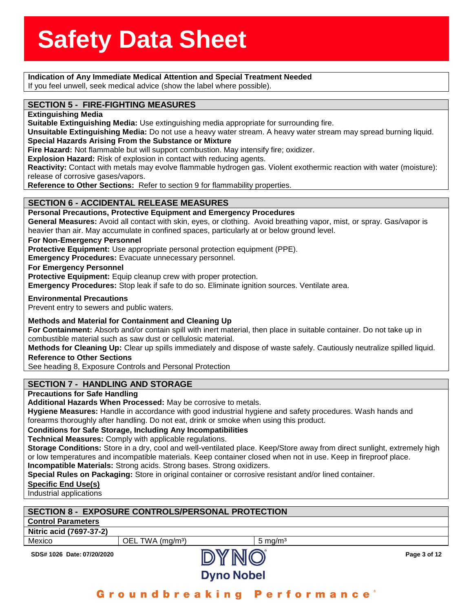## **Indication of Any Immediate Medical Attention and Special Treatment Needed<br>Indication of Any Immediate Medical Attention and Special Treatment Needed**

If you feel unwell, seek medical advice (show the label where possible).

## If you feel unwell, seek medical advice (show the<br>**SECTION 5 - FIRE-FIGHTING MEASURES**

**Extinguishing Media**

**Suitable Extinguishing Media:** Use extinguishing media appropriate for surrounding fire.

**Unsuitable Extinguishing Media:** Do not use a heavy water stream. A heavy water stream may spread burning liquid. **Special Hazards Arising From the Substance or Mixture**

**Fire Hazard:** Not flammable but will support combustion. May intensify fire; oxidizer.

**Explosion Hazard:** Risk of explosion in contact with reducing agents.

**Reactivity:** Contact with metals may evolve flammable hydrogen gas. Violent exothermic reaction with water (moisture): release of corrosive gases/vapors.

**Reference to Other Sections:** Refer to section 9 for flammability properties.

## **SECTION 6 - ACCIDENTAL RELEASE MEASURES**

**Personal Precautions, Protective Equipment and Emergency Procedures**

**General Measures:** Avoid all contact with skin, eyes, or clothing. Avoid breathing vapor, mist, or spray. Gas/vapor is heavier than air. May accumulate in confined spaces, particularly at or below ground level.

### **For Non-Emergency Personnel**

**Protective Equipment:** Use appropriate personal protection equipment (PPE).

**Emergency Procedures:** Evacuate unnecessary personnel.

### **For Emergency Personnel**

**Protective Equipment:** Equip cleanup crew with proper protection.

**Emergency Procedures:** Stop leak if safe to do so. Eliminate ignition sources. Ventilate area.

### **Environmental Precautions**

Prevent entry to sewers and public waters.

### **Methods and Material for Containment and Cleaning Up**

**For Containment:** Absorb and/or contain spill with inert material, then place in suitable container. Do not take up in combustible material such as saw dust or cellulosic material.

**Methods for Cleaning Up:** Clear up spills immediately and dispose of waste safely. Cautiously neutralize spilled liquid. **Reference to Other Sections**

See heading 8, Exposure Controls and Personal Protection

## **SECTION 7 - HANDLING AND STORAGE**

## **Precautions for Safe Handling**

**Additional Hazards When Processed:** May be corrosive to metals.

**Hygiene Measures:** Handle in accordance with good industrial hygiene and safety procedures. Wash hands and forearms thoroughly after handling. Do not eat, drink or smoke when using this product.

### **Conditions for Safe Storage, Including Any Incompatibilities**

**Technical Measures:** Comply with applicable regulations.

**Storage Conditions:** Store in a dry, cool and well-ventilated place. Keep/Store away from direct sunlight, extremely high or low temperatures and incompatible materials. Keep container closed when not in use. Keep in fireproof place. **Incompatible Materials:** Strong acids. Strong bases. Strong oxidizers.

**Special Rules on Packaging:** Store in original container or corrosive resistant and/or lined container.

**Specific End Use(s)**

Industrial applications

| <b>SECTION 8 - EXPOSURE CONTROLS/PERSONAL PROTECTION</b> |                              |                    |              |
|----------------------------------------------------------|------------------------------|--------------------|--------------|
| <b>Control Parameters</b>                                |                              |                    |              |
| Nitric acid (7697-37-2)                                  |                              |                    |              |
| Mexico                                                   | OEL TWA (mg/m <sup>3</sup> ) | $5 \text{ ma/m}^3$ |              |
| SDS# 1026 Date: 07/20/2020                               |                              |                    | Page 3 of 12 |



**Dyno Nobel**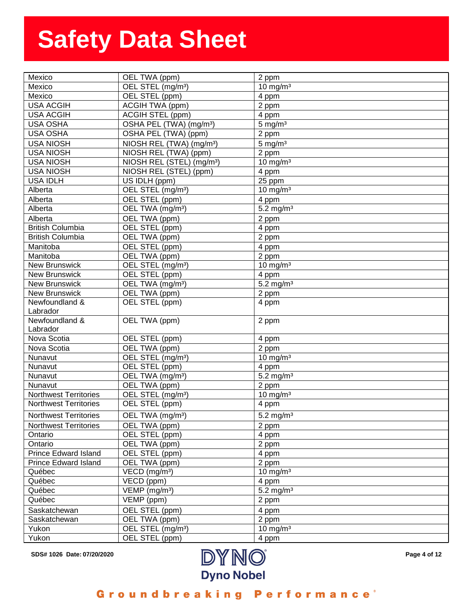| Mexico                       | OEL TWA (ppm)                         | 2 ppm                   |
|------------------------------|---------------------------------------|-------------------------|
| Mexico                       | OEL STEL (mg/m <sup>3</sup> )         | $10 \text{ mg/m}^3$     |
| Mexico                       | OEL STEL (ppm)                        | 4 ppm                   |
| <b>USA ACGIH</b>             | ACGIH TWA (ppm)                       | 2 ppm                   |
| <b>USA ACGIH</b>             | <b>ACGIH STEL (ppm)</b>               | 4 ppm                   |
| <b>USA OSHA</b>              | OSHA PEL (TWA) (mg/m <sup>3</sup> )   | $5 \text{ mg/m}^3$      |
| <b>USA OSHA</b>              | OSHA PEL (TWA) (ppm)                  | 2 ppm                   |
| <b>USA NIOSH</b>             | NIOSH REL (TWA) (mg/m <sup>3</sup> )  | $5 \text{ mg/m}^3$      |
| <b>USA NIOSH</b>             | NIOSH REL (TWA) (ppm)                 | 2 ppm                   |
| <b>USA NIOSH</b>             | NIOSH REL (STEL) (mg/m <sup>3</sup> ) | 10 mg/m $3$             |
| <b>USA NIOSH</b>             | NIOSH REL (STEL) (ppm)                | 4 ppm                   |
| <b>USA IDLH</b>              | US IDLH (ppm)                         | 25 ppm                  |
| Alberta                      | OEL STEL (mg/m <sup>3</sup> )         | 10 mg/m $3$             |
| Alberta                      | OEL STEL (ppm)                        | 4 ppm                   |
| Alberta                      | OEL TWA (mg/m <sup>3</sup> )          | $5.2 \text{ mg/m}^3$    |
| Alberta                      | OEL TWA (ppm)                         | 2 ppm                   |
| <b>British Columbia</b>      | OEL STEL (ppm)                        | 4 ppm                   |
| <b>British Columbia</b>      | OEL TWA (ppm)                         | 2 ppm                   |
| Manitoba                     | OEL STEL (ppm)                        | 4 ppm                   |
| Manitoba                     | OEL TWA (ppm)                         | 2 ppm                   |
| <b>New Brunswick</b>         | OEL STEL (mg/m <sup>3</sup> )         | 10 mg/m $3$             |
| <b>New Brunswick</b>         | OEL STEL (ppm)                        | 4 ppm                   |
| <b>New Brunswick</b>         | OEL TWA (mg/m <sup>3</sup> )          | 5.2 mg/m <sup>3</sup>   |
| <b>New Brunswick</b>         | OEL TWA (ppm)                         | 2 ppm                   |
| Newfoundland &               | OEL STEL (ppm)                        | 4 ppm                   |
| Labrador                     |                                       |                         |
| Newfoundland &               | OEL TWA (ppm)                         | 2 ppm                   |
| Labrador                     |                                       |                         |
| Nova Scotia                  | OEL STEL (ppm)                        | 4 ppm                   |
| Nova Scotia                  | OEL TWA (ppm)                         | 2 ppm                   |
| Nunavut                      | OEL STEL (mg/m <sup>3</sup> )         | $10 \text{ mg/m}^3$     |
| Nunavut                      | OEL STEL (ppm)                        | 4 ppm                   |
| Nunavut                      | OEL TWA (mg/m <sup>3</sup> )          | $5.2$ mg/m <sup>3</sup> |
| Nunavut                      | OEL TWA (ppm)                         | 2 ppm                   |
| <b>Northwest Territories</b> | OEL STEL (mg/m <sup>3</sup> )         | $10 \text{ mg/m}^3$     |
| Northwest Territories        | OEL STEL (ppm)                        | 4 ppm                   |
| <b>Northwest Territories</b> | OEL TWA (mg/m <sup>3</sup> )          | 5.2 mg/m <sup>3</sup>   |
| <b>Northwest Territories</b> | OEL TWA (ppm)                         | 2 ppm                   |
| Ontario                      | OEL STEL (ppm)                        | 4 ppm                   |
| Ontario                      | OEL TWA (ppm)                         | 2 ppm                   |
| <b>Prince Edward Island</b>  | OEL STEL (ppm)                        | 4 ppm                   |
| <b>Prince Edward Island</b>  | OEL TWA (ppm)                         | 2 ppm                   |
| Québec                       | VECD (mg/m <sup>3</sup> )             | $10 \text{ mg/m}^3$     |
| Québec                       | $\overline{\mathsf{VECD}}$ (ppm)      | 4 ppm                   |
| Québec                       | $VEMP$ (mg/m <sup>3</sup> )           | 5.2 mg/m $3$            |
| Québec                       | $\overline{V}$ EMP (ppm)              | 2 ppm                   |
|                              |                                       |                         |
| Saskatchewan                 | OEL STEL (ppm)                        | 4 ppm                   |
| Saskatchewan                 | OEL TWA (ppm)                         | 2 ppm                   |
| Yukon                        | OEL STEL (mg/m <sup>3</sup> )         | $10 \text{ mg/m}^3$     |
| Yukon                        | OEL STEL (ppm)                        | 4 ppm                   |



**4 of 12**

Groundbreaking Performance<sup>®</sup>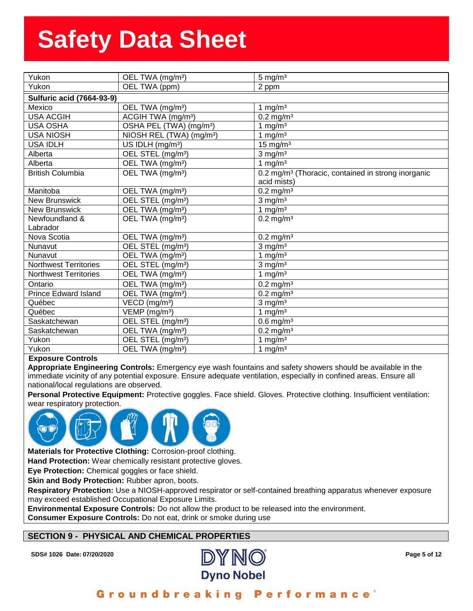| Yukon                            | OEL TWA (mg/m <sup>3</sup> )         | $5 \text{ mg/m}^3$                                             |
|----------------------------------|--------------------------------------|----------------------------------------------------------------|
| Yukon                            | OEL TWA (ppm)                        | 2 ppm                                                          |
| <b>Sulfuric acid (7664-93-9)</b> |                                      |                                                                |
| Mexico                           | OEL TWA (mg/m <sup>3</sup> )         | 1 mg/m $3$                                                     |
| <b>USA ACGIH</b>                 | ACGIH TWA (mg/m <sup>3</sup> )       | $0.2 \text{ mg/m}^3$                                           |
| <b>USA OSHA</b>                  | OSHA PEL (TWA) (mg/m <sup>3</sup> )  | 1 mg/m $3$                                                     |
| <b>USA NIOSH</b>                 | NIOSH REL (TWA) (mg/m <sup>3</sup> ) | 1 mg/ $m3$                                                     |
| <b>USA IDLH</b>                  | US IDLH (mg/m <sup>3</sup> )         | $15$ mg/m <sup>3</sup>                                         |
| Alberta                          | OEL STEL (mg/m <sup>3</sup> )        | $3$ mg/m <sup>3</sup>                                          |
| Alberta                          | OEL TWA (mg/m <sup>3</sup> )         | 1 mg/ $m3$                                                     |
| <b>British Columbia</b>          | OEL TWA (mg/m <sup>3</sup> )         | 0.2 mg/m <sup>3</sup> (Thoracic, contained in strong inorganic |
|                                  |                                      | acid mists)                                                    |
| Manitoba                         | OEL TWA (mg/m <sup>3</sup> )         | $0.2$ mg/m <sup>3</sup>                                        |
| <b>New Brunswick</b>             | OEL STEL (mg/m <sup>3</sup> )        | $3$ mg/m <sup>3</sup>                                          |
| <b>New Brunswick</b>             | OEL TWA (mg/m <sup>3</sup> )         | 1 mg/ $m3$                                                     |
| Newfoundland &                   | OEL TWA (mg/m <sup>3</sup> )         | $0.2$ mg/m <sup>3</sup>                                        |
| Labrador                         |                                      |                                                                |
| Nova Scotia                      | OEL TWA (mg/m <sup>3</sup> )         | $0.2 \,\mathrm{mg/m^3}$                                        |
| Nunavut                          | OEL STEL (mg/m <sup>3</sup> )        | $3$ mg/m <sup>3</sup>                                          |
| Nunavut                          | OEL TWA (mg/m <sup>3</sup> )         | 1 mg/m $3$                                                     |
| <b>Northwest Territories</b>     | OEL STEL (mg/m <sup>3</sup> )        | $3$ mg/m <sup>3</sup>                                          |
| <b>Northwest Territories</b>     | OEL TWA (mg/m <sup>3</sup> )         | 1 mg/m $3$                                                     |
| Ontario                          | OEL TWA (mg/m <sup>3</sup> )         | $0.2 \text{ mg/m}^3$                                           |
| <b>Prince Edward Island</b>      | OEL TWA (mg/m <sup>3</sup> )         | $0.2$ mg/m <sup>3</sup>                                        |
| Québec                           | VECD (mg/m <sup>3</sup> )            | $3$ mg/m $3$                                                   |
| Québec                           | VEMP (mg/m <sup>3</sup> )            | 1 mg/ $m3$                                                     |
| Saskatchewan                     | OEL STEL (mg/m <sup>3</sup> )        | $0.6$ mg/m <sup>3</sup>                                        |
| Saskatchewan                     | OEL TWA (mg/m <sup>3</sup> )         | $0.2$ mg/m <sup>3</sup>                                        |
| Yukon                            | OEL STEL (mg/m <sup>3</sup> )        | 1 mg/m $3$                                                     |
| Yukon                            | OEL TWA (mg/m <sup>3</sup> )         | 1 mg/m $3$                                                     |

### **Exposure Controls**

**Appropriate Engineering Controls:** Emergency eye wash fountains and safety showers should be available in the immediate vicinity of any potential exposure. Ensure adequate ventilation, especially in confined areas. Ensure all national/local regulations are observed.

**Personal Protective Equipment:** Protective goggles. Face shield. Gloves. Protective clothing. Insufficient ventilation: wear respiratory protection.



**Materials for Protective Clothing:** Corrosion-proof clothing.

**Hand Protection:** Wear chemically resistant protective gloves.

**Eye Protection:** Chemical goggles or face shield.

**Skin and Body Protection:** Rubber apron, boots.

**Respiratory Protection:** Use a NIOSH-approved respirator or self-contained breathing apparatus whenever exposure may exceed established Occupational Exposure Limits.

**Environmental Exposure Controls:** Do not allow the product to be released into the environment. **Consumer Exposure Controls:** Do not eat, drink or smoke during use

## **SECTION 9 - PHYSICAL AND CHEMICAL PROPERTIES**

**SDS# 1026 Date: 07/20/2020 Page 5 of 12**



#### Groundbreaking Performance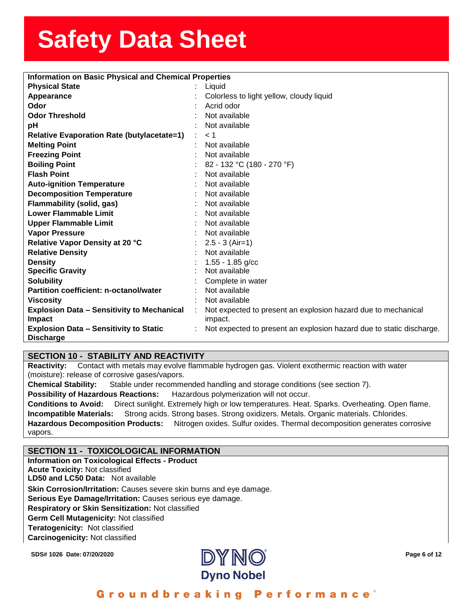| <b>Information on Basic Physical and Chemical Properties</b> |           |                                                                      |  |
|--------------------------------------------------------------|-----------|----------------------------------------------------------------------|--|
| <b>Physical State</b>                                        |           | Liquid                                                               |  |
| Appearance                                                   |           | Colorless to light yellow, cloudy liquid                             |  |
| Odor                                                         |           | Acrid odor                                                           |  |
| <b>Odor Threshold</b>                                        |           | Not available                                                        |  |
| pH                                                           |           | Not available                                                        |  |
| <b>Relative Evaporation Rate (butylacetate=1)</b>            |           | < 1                                                                  |  |
| <b>Melting Point</b>                                         |           | Not available                                                        |  |
| <b>Freezing Point</b>                                        |           | Not available                                                        |  |
| <b>Boiling Point</b>                                         |           | 82 - 132 °C (180 - 270 °F)                                           |  |
| <b>Flash Point</b>                                           |           | Not available                                                        |  |
| <b>Auto-ignition Temperature</b>                             |           | Not available                                                        |  |
| <b>Decomposition Temperature</b>                             |           | Not available                                                        |  |
| Flammability (solid, gas)                                    |           | Not available                                                        |  |
| <b>Lower Flammable Limit</b>                                 |           | Not available                                                        |  |
| <b>Upper Flammable Limit</b>                                 |           | Not available                                                        |  |
| <b>Vapor Pressure</b>                                        |           | Not available                                                        |  |
| Relative Vapor Density at 20 °C                              |           | $2.5 - 3$ (Air=1)                                                    |  |
| <b>Relative Density</b>                                      |           | Not available                                                        |  |
| <b>Density</b>                                               |           | $1.55 - 1.85$ g/cc                                                   |  |
| <b>Specific Gravity</b>                                      |           | Not available                                                        |  |
| <b>Solubility</b>                                            |           | Complete in water                                                    |  |
| Partition coefficient: n-octanol/water                       |           | Not available                                                        |  |
| <b>Viscosity</b>                                             | $\bullet$ | Not available                                                        |  |
| <b>Explosion Data - Sensitivity to Mechanical</b>            |           | Not expected to present an explosion hazard due to mechanical        |  |
| Impact                                                       |           | impact.                                                              |  |
| <b>Explosion Data - Sensitivity to Static</b>                |           | Not expected to present an explosion hazard due to static discharge. |  |
| <b>Discharge</b>                                             |           |                                                                      |  |

## **SECTION 10 - STABILITY AND REACTIVITY**

**Reactivity:** Contact with metals may evolve flammable hydrogen gas. Violent exothermic reaction with water (moisture): release of corrosive gases/vapors.

**Chemical Stability:** Stable under recommended handling and storage conditions (see section 7).

**Possibility of Hazardous Reactions:** Hazardous polymerization will not occur.

**Conditions to Avoid:** Direct sunlight. Extremely high or low temperatures. Heat. Sparks. Overheating. Open flame. **Incompatible Materials:** Strong acids. Strong bases. Strong oxidizers. Metals. Organic materials. Chlorides. **Hazardous Decomposition Products:** Nitrogen oxides. Sulfur oxides. Thermal decomposition generates corrosive vapors.

## **SECTION 11 - TOXICOLOGICAL INFORMATION**

**Information on Toxicological Effects - Product Acute Toxicity:** Not classified **LD50 and LC50 Data:** Not available**Skin Corrosion/Irritation:** Causes severe skin burns and eye damage. **Serious Eye Damage/Irritation:** Causes serious eye damage. **Respiratory or Skin Sensitization:** Not classified **Germ Cell Mutagenicity:** Not classified **Teratogenicity:** Not classified**Carcinogenicity:** Not classified



#### Groundbreaking **Performance**<sup>®</sup>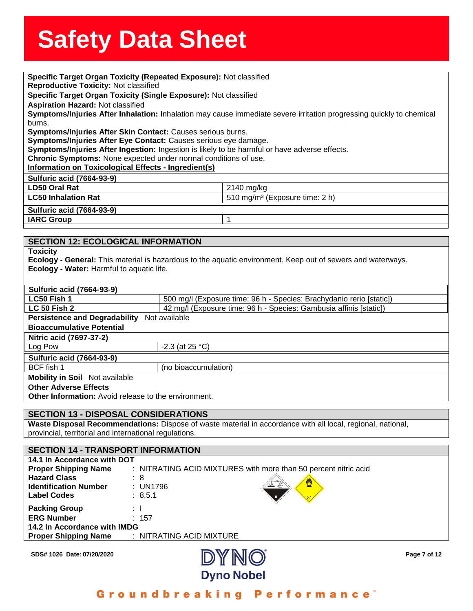**Specific Target Organ Toxicity (Repeated Exposure):** Not classified<br>**Specific Target Organ Toxicity (Repeated Exposure):** Not classified productive Toxicity: Not cl<br>ecific Target Organ Toxici<br>piration Hazard: Not classi **Reproductive Toxicity:** Not classified **Specific Target Organ Toxicity (Single Exposure):** Not classified **Aspiration Hazard:** Not classified **Symptoms/Injuries After Inhalation:** Inhalation may cause immediate severe irritation progressing quickly to chemical burns. **Symptoms/Injuries After Skin Contact:** Causes serious burns. **Symptoms/Injuries After Eye Contact:** Causes serious eye damage. **Symptoms/Injuries After Ingestion:** Ingestion is likely to be harmful or have adverse effects. **Chronic Symptoms:** None expected under normal conditions of use. **Information on Toxicological Effects - Ingredient(s) Sulfuric acid (7664-93-9) LD50 Oral Rat** 2140 mg/kg **LC50 Inhalation Rat** 510 mg/m³ (Exposure time: 2 h) **Sulfuric acid (7664-93-9)**

**IARC Group** 1

## **SECTION 12: ECOLOGICAL INFORMATION**

**Toxicity**

**Ecology - General:** This material is hazardous to the aquatic environment. Keep out of sewers and waterways. **Ecology - Water:** Harmful to aquatic life.

| <b>Sulfuric acid (7664-93-9)</b>                     |                                                                      |
|------------------------------------------------------|----------------------------------------------------------------------|
| LC50 Fish 1                                          | 500 mg/l (Exposure time: 96 h - Species: Brachydanio rerio [static]) |
| <b>LC 50 Fish 2</b>                                  | 42 mg/l (Exposure time: 96 h - Species: Gambusia affinis [static])   |
| <b>Persistence and Degradability</b>                 | Not available                                                        |
| <b>Bioaccumulative Potential</b>                     |                                                                      |
| Nitric acid (7697-37-2)                              |                                                                      |
| Log Pow                                              | $-2.3$ (at 25 °C)                                                    |
| <b>Sulfuric acid (7664-93-9)</b>                     |                                                                      |
| BCF fish 1                                           | (no bioaccumulation)                                                 |
| <b>Mobility in Soil</b> Not available                |                                                                      |
| <b>Other Adverse Effects</b>                         |                                                                      |
| Other Information: Avoid release to the environment. |                                                                      |

## **SECTION 13 - DISPOSAL CONSIDERATIONS**

**Waste Disposal Recommendations:** Dispose of waste material in accordance with all local, regional, national, provincial, territorial and international regulations.

| <b>SECTION 14 - TRANSPORT INFORMATION</b> |                                                                 |  |
|-------------------------------------------|-----------------------------------------------------------------|--|
| 14.1 In Accordance with DOT               |                                                                 |  |
| <b>Proper Shipping Name</b>               | : NITRATING ACID MIXTURES with more than 50 percent nitric acid |  |
| <b>Hazard Class</b>                       | : 8                                                             |  |
| <b>Identification Number</b>              | Ö<br>: UN1796                                                   |  |
| <b>Label Codes</b>                        | : 8, 5.1                                                        |  |
| <b>Packing Group</b>                      | ÷Ι                                                              |  |
| <b>ERG Number</b>                         | : 157                                                           |  |
| 14.2 In Accordance with IMDG              |                                                                 |  |
| <b>Proper Shipping Name</b>               | : NITRATING ACID MIXTURE                                        |  |
|                                           |                                                                 |  |

**SDS# 1026 Date: 07/20/2020 Page 7 of 12** 



Groundbreaking **Performance**<sup>®</sup>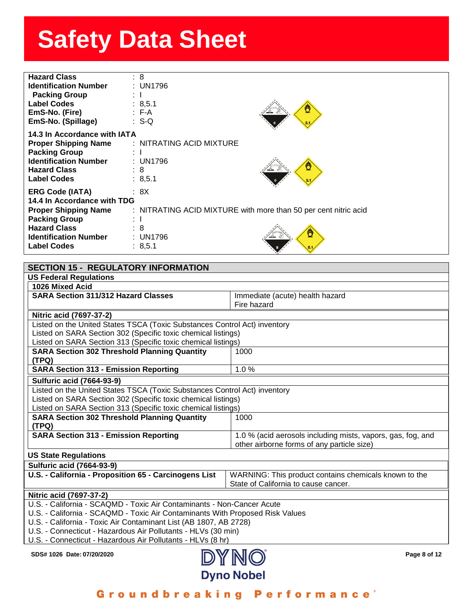| <b>Hazard Class</b><br><b>Identification Number</b><br><b>Packing Group</b><br><b>Label Codes</b><br>EmS-No. (Fire)<br>EmS-No. (Spillage)                                                 | : 8<br>: UN1796<br>$\mathbb{R}^{\mathbb{N}}$<br>: 8,5.1<br>$: F-A$<br>$\therefore$ S-Q                                      |   |
|-------------------------------------------------------------------------------------------------------------------------------------------------------------------------------------------|-----------------------------------------------------------------------------------------------------------------------------|---|
| 14.3 In Accordance with IATA<br><b>Proper Shipping Name</b><br><b>Packing Group</b><br><b>Identification Number : UN1796</b><br><b>Hazard Class</b><br><b>Label Codes</b>                 | : NITRATING ACID MIXTURE<br>: 8<br>: 8,5.1                                                                                  |   |
| <b>ERG Code (IATA)</b><br>14.4 In Accordance with TDG<br><b>Proper Shipping Name</b><br><b>Packing Group</b><br><b>Hazard Class</b><br><b>Identification Number</b><br><b>Label Codes</b> | : 8X<br>: NITRATING ACID MIXTURE with more than 50 per cent nitric acid<br>$\pm$ 1<br>$\therefore$ 8<br>: UN1796<br>: 8,5.1 | Ö |

| <b>SECTION 15 - REGULATORY INFORMATION</b>                                    |                                                             |  |
|-------------------------------------------------------------------------------|-------------------------------------------------------------|--|
| <b>US Federal Regulations</b>                                                 |                                                             |  |
| 1026 Mixed Acid                                                               |                                                             |  |
| <b>SARA Section 311/312 Hazard Classes</b>                                    | Immediate (acute) health hazard                             |  |
|                                                                               | Fire hazard                                                 |  |
| Nitric acid (7697-37-2)                                                       |                                                             |  |
| Listed on the United States TSCA (Toxic Substances Control Act) inventory     |                                                             |  |
| Listed on SARA Section 302 (Specific toxic chemical listings)                 |                                                             |  |
| Listed on SARA Section 313 (Specific toxic chemical listings)                 |                                                             |  |
| <b>SARA Section 302 Threshold Planning Quantity</b>                           | 1000                                                        |  |
| (TPQ)                                                                         |                                                             |  |
| <b>SARA Section 313 - Emission Reporting</b>                                  | 1.0%                                                        |  |
| <b>Sulfuric acid (7664-93-9)</b>                                              |                                                             |  |
| Listed on the United States TSCA (Toxic Substances Control Act) inventory     |                                                             |  |
| Listed on SARA Section 302 (Specific toxic chemical listings)                 |                                                             |  |
| Listed on SARA Section 313 (Specific toxic chemical listings)                 |                                                             |  |
| <b>SARA Section 302 Threshold Planning Quantity</b>                           | 1000                                                        |  |
| (TPQ)                                                                         |                                                             |  |
| <b>SARA Section 313 - Emission Reporting</b>                                  | 1.0 % (acid aerosols including mists, vapors, gas, fog, and |  |
|                                                                               | other airborne forms of any particle size)                  |  |
| <b>US State Regulations</b>                                                   |                                                             |  |
| <b>Sulfuric acid (7664-93-9)</b>                                              |                                                             |  |
| U.S. - California - Proposition 65 - Carcinogens List                         | WARNING: This product contains chemicals known to the       |  |
|                                                                               | State of California to cause cancer.                        |  |
| Nitric acid (7697-37-2)                                                       |                                                             |  |
| U.S. - California - SCAQMD - Toxic Air Contaminants - Non-Cancer Acute        |                                                             |  |
| U.S. - California - SCAQMD - Toxic Air Contaminants With Proposed Risk Values |                                                             |  |
| U.S. - California - Toxic Air Contaminant List (AB 1807, AB 2728)             |                                                             |  |
| U.S. - Connecticut - Hazardous Air Pollutants - HLVs (30 min)                 |                                                             |  |
| U.S. - Connecticut - Hazardous Air Pollutants - HLVs (8 hr)                   |                                                             |  |
| SDS# 1026 Date: 07/20/2020                                                    | <b>INVINIA</b><br>Page 8 of 12                              |  |

Groundbreaking **Performance**®

**Dyno Nobel**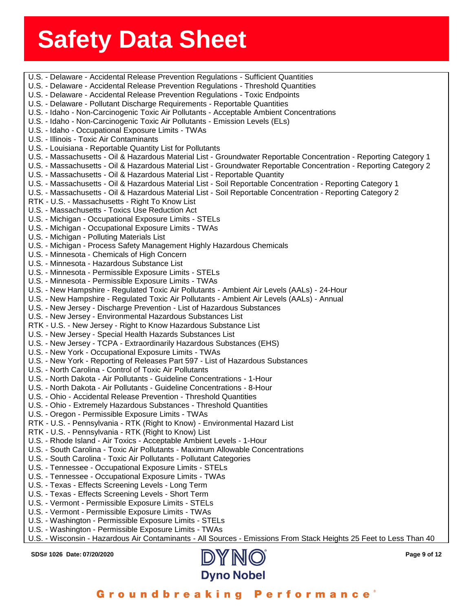| U.S. - Delaware - Accidental Release Prevention Regulations - Sufficient Quantities                                |
|--------------------------------------------------------------------------------------------------------------------|
| U.S. - Delaware - Accidental Release Prevention Regulations - Threshold Quantities                                 |
| U.S. - Delaware - Accidental Release Prevention Regulations - Toxic Endpoints                                      |
| U.S. - Delaware - Pollutant Discharge Requirements - Reportable Quantities                                         |
| U.S. - Idaho - Non-Carcinogenic Toxic Air Pollutants - Acceptable Ambient Concentrations                           |
| U.S. - Idaho - Non-Carcinogenic Toxic Air Pollutants - Emission Levels (ELs)                                       |
| U.S. - Idaho - Occupational Exposure Limits - TWAs                                                                 |
| U.S. - Illinois - Toxic Air Contaminants                                                                           |
| U.S. - Louisiana - Reportable Quantity List for Pollutants                                                         |
| U.S. - Massachusetts - Oil & Hazardous Material List - Groundwater Reportable Concentration - Reporting Category 1 |
| U.S. - Massachusetts - Oil & Hazardous Material List - Groundwater Reportable Concentration - Reporting Category 2 |
| U.S. - Massachusetts - Oil & Hazardous Material List - Reportable Quantity                                         |
| U.S. - Massachusetts - Oil & Hazardous Material List - Soil Reportable Concentration - Reporting Category 1        |
| U.S. - Massachusetts - Oil & Hazardous Material List - Soil Reportable Concentration - Reporting Category 2        |
| RTK - U.S. - Massachusetts - Right To Know List                                                                    |
| U.S. - Massachusetts - Toxics Use Reduction Act                                                                    |
| U.S. - Michigan - Occupational Exposure Limits - STELs                                                             |
| U.S. - Michigan - Occupational Exposure Limits - TWAs                                                              |
| U.S. - Michigan - Polluting Materials List                                                                         |
| U.S. - Michigan - Process Safety Management Highly Hazardous Chemicals                                             |
| U.S. - Minnesota - Chemicals of High Concern                                                                       |
| U.S. - Minnesota - Hazardous Substance List                                                                        |
| U.S. - Minnesota - Permissible Exposure Limits - STELs                                                             |
| U.S. - Minnesota - Permissible Exposure Limits - TWAs                                                              |
| U.S. - New Hampshire - Regulated Toxic Air Pollutants - Ambient Air Levels (AALs) - 24-Hour                        |
| U.S. - New Hampshire - Regulated Toxic Air Pollutants - Ambient Air Levels (AALs) - Annual                         |
| U.S. - New Jersey - Discharge Prevention - List of Hazardous Substances                                            |
| U.S. - New Jersey - Environmental Hazardous Substances List                                                        |
| RTK - U.S. - New Jersey - Right to Know Hazardous Substance List                                                   |
| U.S. - New Jersey - Special Health Hazards Substances List                                                         |
| U.S. - New Jersey - TCPA - Extraordinarily Hazardous Substances (EHS)                                              |
| U.S. - New York - Occupational Exposure Limits - TWAs                                                              |
| U.S. - New York - Reporting of Releases Part 597 - List of Hazardous Substances                                    |
| U.S. - North Carolina - Control of Toxic Air Pollutants                                                            |
| U.S. - North Dakota - Air Pollutants - Guideline Concentrations - 1-Hour                                           |
| U.S. - North Dakota - Air Pollutants - Guideline Concentrations - 8-Hour                                           |
| U.S. - Ohio - Accidental Release Prevention - Threshold Quantities                                                 |
| U.S. - Ohio - Extremely Hazardous Substances - Threshold Quantities                                                |
| U.S. - Oregon - Permissible Exposure Limits - TWAs                                                                 |
| RTK - U.S. - Pennsylvania - RTK (Right to Know) - Environmental Hazard List                                        |
| RTK - U.S. - Pennsylvania - RTK (Right to Know) List                                                               |
| U.S. - Rhode Island - Air Toxics - Acceptable Ambient Levels - 1-Hour                                              |
| U.S. - South Carolina - Toxic Air Pollutants - Maximum Allowable Concentrations                                    |
| U.S. - South Carolina - Toxic Air Pollutants - Pollutant Categories                                                |
| U.S. - Tennessee - Occupational Exposure Limits - STELs                                                            |
| U.S. - Tennessee - Occupational Exposure Limits - TWAs                                                             |
| U.S. - Texas - Effects Screening Levels - Long Term                                                                |
| U.S. - Texas - Effects Screening Levels - Short Term                                                               |
| U.S. - Vermont - Permissible Exposure Limits - STELs                                                               |
| U.S. - Vermont - Permissible Exposure Limits - TWAs                                                                |
| U.S. - Washington - Permissible Exposure Limits - STELs                                                            |
| U.S. - Washington - Permissible Exposure Limits - TWAs                                                             |
| U.S. - Wisconsin - Hazardous Air Contaminants - All Sources - Emissions From Stack Heights 25 Feet to Less Than 40 |
|                                                                                                                    |

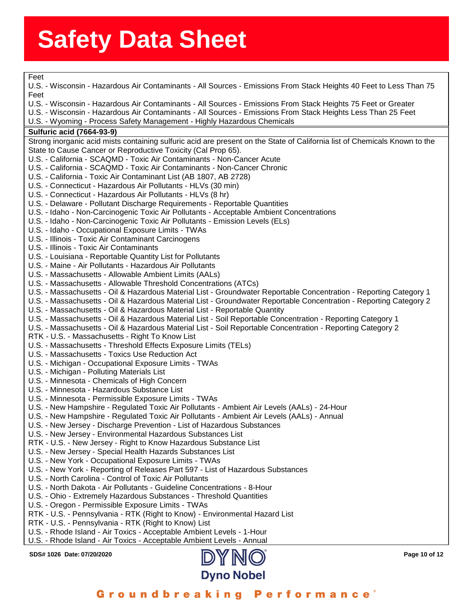Feet

**SDS# 1026 Date: 07/20/2020 Page 10 of 12** assess State State State State State State State State State State State State State State State State State State<br>Primary State State State State State State State State State State State State State State State State Sta U.S. - Wisconsin - Hazardous Air Contaminants - All Sources - Emissions From Stack Heights 40 Feet to Less Tr<br>Feet<br>U.S. - Wisconsin - Hazardous Air Contaminants - All Sources - Emissions From Stack Heights 75 Feet or Great U.S. - Wisconsin - Hazardous Air Contaminants - All Sources - Emissions From Stack Heights 40 Feet to Less Than 75 Feet U.S. - Wisconsin - Hazardous Air Contaminants - All Sources - Emissions From Stack Heights Less Than 25 Feet U.S. - Wyoming - Process Safety Management - Highly Hazardous Chemicals **Sulfuric acid (7664-93-9)** Strong inorganic acid mists containing sulfuric acid are present on the State of California list of Chemicals Known to the State to Cause Cancer or Reproductive Toxicity (Cal Prop 65). U.S. - California - SCAQMD - Toxic Air Contaminants - Non-Cancer Acute U.S. - California - SCAQMD - Toxic Air Contaminants - Non-Cancer Chronic U.S. - California - Toxic Air Contaminant List (AB 1807, AB 2728) U.S. - Connecticut - Hazardous Air Pollutants - HLVs (30 min) U.S. - Connecticut - Hazardous Air Pollutants - HLVs (8 hr) U.S. - Delaware - Pollutant Discharge Requirements - Reportable Quantities U.S. - Idaho - Non-Carcinogenic Toxic Air Pollutants - Acceptable Ambient Concentrations U.S. - Idaho - Non-Carcinogenic Toxic Air Pollutants - Emission Levels (ELs) U.S. - Idaho - Occupational Exposure Limits - TWAs U.S. - Illinois - Toxic Air Contaminant Carcinogens U.S. - Illinois - Toxic Air Contaminants U.S. - Louisiana - Reportable Quantity List for Pollutants U.S. - Maine - Air Pollutants - Hazardous Air Pollutants U.S. - Massachusetts - Allowable Ambient Limits (AALs) U.S. - Massachusetts - Allowable Threshold Concentrations (ATCs) U.S. - Massachusetts - Oil & Hazardous Material List - Groundwater Reportable Concentration - Reporting Category 1 U.S. - Massachusetts - Oil & Hazardous Material List - Groundwater Reportable Concentration - Reporting Category 2 U.S. - Massachusetts - Oil & Hazardous Material List - Reportable Quantity U.S. - Massachusetts - Oil & Hazardous Material List - Soil Reportable Concentration - Reporting Category 1 U.S. - Massachusetts - Oil & Hazardous Material List - Soil Reportable Concentration - Reporting Category 2 RTK - U.S. - Massachusetts - Right To Know List U.S. - Massachusetts - Threshold Effects Exposure Limits (TELs) U.S. - Massachusetts - Toxics Use Reduction Act U.S. - Michigan - Occupational Exposure Limits - TWAs U.S. - Michigan - Polluting Materials List U.S. - Minnesota - Chemicals of High Concern U.S. - Minnesota - Hazardous Substance List U.S. - Minnesota - Permissible Exposure Limits - TWAs U.S. - New Hampshire - Regulated Toxic Air Pollutants - Ambient Air Levels (AALs) - 24-Hour U.S. - New Hampshire - Regulated Toxic Air Pollutants - Ambient Air Levels (AALs) - Annual U.S. - New Jersey - Discharge Prevention - List of Hazardous Substances U.S. - New Jersey - Environmental Hazardous Substances List RTK - U.S. - New Jersey - Right to Know Hazardous Substance List U.S. - New Jersey - Special Health Hazards Substances List U.S. - New York - Occupational Exposure Limits - TWAs U.S. - New York - Reporting of Releases Part 597 - List of Hazardous Substances U.S. - North Carolina - Control of Toxic Air Pollutants U.S. - North Dakota - Air Pollutants - Guideline Concentrations - 8-Hour U.S. - Ohio - Extremely Hazardous Substances - Threshold Quantities U.S. - Oregon - Permissible Exposure Limits - TWAs RTK - U.S. - Pennsylvania - RTK (Right to Know) - Environmental Hazard List RTK - U.S. - Pennsylvania - RTK (Right to Know) List U.S. - Rhode Island - Air Toxics - Acceptable Ambient Levels - 1-Hour U.S. - Rhode Island - Air Toxics - Acceptable Ambient Levels - Annual

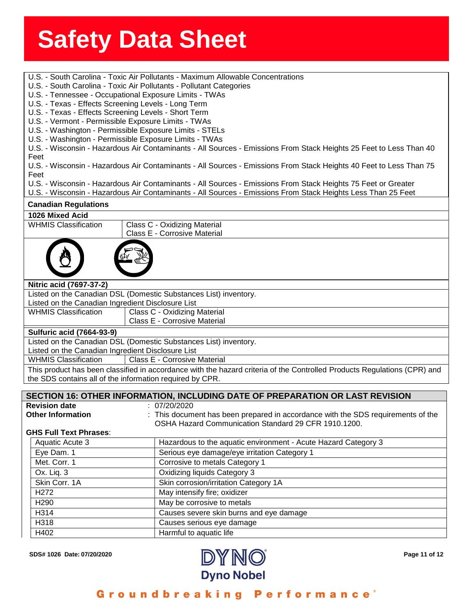- **Solents**<br>
U.S. South Carolina Toxic Air Pollutants Maximum Allowable Concentrations
- U.S. South Carolina Toxic Air Pollutants Pollutant Categories
- 5. South Carolina Toxic *P*<br>S. Tennessee Occupatior<br>S. Texas Effects Screenir U.S. - Tennessee - Occupational Exposure Limits - TWAs
- U.S. Texas Effects Screening Levels Long Term
- U.S. Texas Effects Screening Levels Short Term
- U.S. Vermont Permissible Exposure Limits TWAs
- U.S. Washington Permissible Exposure Limits STELs
- U.S. Washington Permissible Exposure Limits TWAs

U.S. - Wisconsin - Hazardous Air Contaminants - All Sources - Emissions From Stack Heights 25 Feet to Less Than 40 Feet

U.S. - Wisconsin - Hazardous Air Contaminants - All Sources - Emissions From Stack Heights 40 Feet to Less Than 75 Feet

U.S. - Wisconsin - Hazardous Air Contaminants - All Sources - Emissions From Stack Heights 75 Feet or Greater

U.S. - Wisconsin - Hazardous Air Contaminants - All Sources - Emissions From Stack Heights Less Than 25 Feet

## **Canadian Regulations**

**1026 Mixed Acid** WHMIS Classification | Class C - Oxidizing Material Class E - Corrosive Material **Nitric acid (7697-37-2)** Listed on the Canadian DSL (Domestic Substances List) inventory. Listed on the Canadian Ingredient Disclosure List WHMIS Classification | Class C - Oxidizing Material Class E - Corrosive Material **Sulfuric acid (7664-93-9)** Listed on the Canadian DSL (Domestic Substances List) inventory. Listed on the Canadian Ingredient Disclosure List WHMIS Classification | Class E - Corrosive Material This product has been classified in accordance with the hazard criteria of the Controlled Products Regulations (CPR) and the SDS contains all of the information required by CPR.

### **SECTION 16: OTHER INFORMATION, INCLUDING DATE OF PREPARATION OR LAST REVISION Revision date** : 07/20/2020

**Other Information** : This document has been prepared in accordance with the SDS requirements of the OSHA Hazard Communication Standard 29 CFR 1910.1200.

## **GHS Full Text Phrases**:

| Aquatic Acute 3  | Hazardous to the aquatic environment - Acute Hazard Category 3 |
|------------------|----------------------------------------------------------------|
| Eye Dam. 1       | Serious eye damage/eye irritation Category 1                   |
| Met. Corr. 1     | Corrosive to metals Category 1                                 |
| Ox. Liq. 3       | Oxidizing liquids Category 3                                   |
| Skin Corr. 1A    | Skin corrosion/irritation Category 1A                          |
| H <sub>272</sub> | May intensify fire; oxidizer                                   |
| H <sub>290</sub> | May be corrosive to metals                                     |
| H314             | Causes severe skin burns and eye damage                        |
| H318             | Causes serious eye damage                                      |
| H402             | Harmful to aquatic life                                        |



## Groundbreaking Performance'